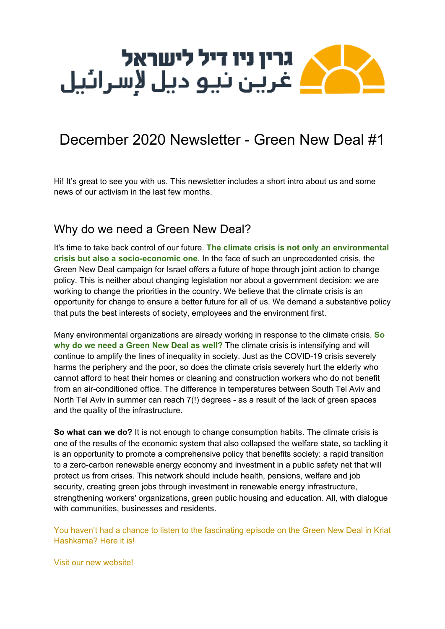

# December 2020 Newsletter - Green New Deal #1

Hi! It's great to see you with us. This newsletter includes a short intro about us and some news of our activism in the last few months.

### Why do we need a Green New Deal?

It's time to take back control of our future. **The climate crisis is not only an environmental crisis but also a socio-economic one**. In the face of such an unprecedented crisis, the Green New Deal campaign for Israel offers a future of hope through joint action to change policy. This is neither about changing legislation nor about a government decision: we are working to change the priorities in the country. We believe that the climate crisis is an opportunity for change to ensure a better future for all of us. We demand a substantive policy that puts the best interests of society, employees and the environment first.

Many environmental organizations are already working in response to the climate crisis. **So why do we need a Green New Deal as well?** The climate crisis is intensifying and will continue to amplify the lines of inequality in society. Just as the COVID-19 crisis severely harms the periphery and the poor, so does the climate crisis severely hurt the elderly who cannot afford to heat their homes or cleaning and construction workers who do not benefit from an air-conditioned office. The difference in temperatures between South Tel Aviv and North Tel Aviv in summer can reach 7(!) degrees - as a result of the lack of green spaces and the quality of the infrastructure.

**So what can we do?** It is not enough to change consumption habits. The climate crisis is one of the results of the economic system that also collapsed the welfare state, so tackling it is an opportunity to promote a comprehensive policy that benefits society: a rapid transition to a zero-carbon renewable energy economy and investment in a public safety net that will protect us from crises. This network should include health, pensions, welfare and job security, creating green jobs through investment in renewable energy infrastructure, strengthening workers' organizations, green public housing and education. All, with dialogue with communities, businesses and residents.

You haven't had a chance to listen to the [fascinating](https://soundcloud.com/wakeup_call/114a) episode on the Green New Deal in Kriat [Hashkama?](https://soundcloud.com/wakeup_call/114a) Here it is[!](https://soundcloud.com/wakeup_call/114a)

Visit our new [website!](https://greennewdeal.org.il/)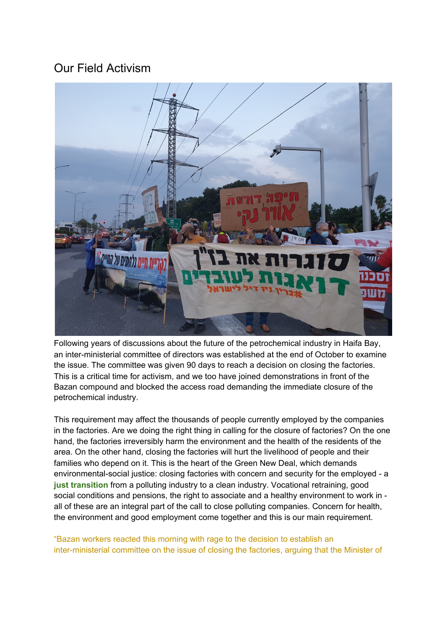### Our Field Activism



Following years of discussions about the future of the petrochemical industry in Haifa Bay, an inter-ministerial committee of directors was established at the end of October to examine the issue. The committee was given 90 days to reach a decision on closing the factories. This is a critical time for activism, and we too have joined demonstrations in front of the Bazan compound and blocked the access road demanding the immediate closure of the petrochemical industry.

This requirement may affect the thousands of people currently employed by the companies in the factories. Are we doing the right thing in calling for the closure of factories? On the one hand, the factories irreversibly harm the environment and the health of the residents of the area. On the other hand, closing the factories will hurt the livelihood of people and their families who depend on it. This is the heart of the Green New Deal, which demands environmental-social justice: closing factories with concern and security for the employed - a **just transition** from a polluting industry to a clean industry. Vocational retraining, good social conditions and pensions, the right to associate and a healthy environment to work in all of these are an integral part of the call to close polluting companies. Concern for health, the environment and good employment come together and this is our main requirement.

"Bazan workers reacted this morning with rage to the decision to [establish](https://www.globes.co.il/news/article.aspx?did=1001346909) an [inter-ministerial](https://www.globes.co.il/news/article.aspx?did=1001346909) committee on the issue of closing the factories, arguing that the Minister of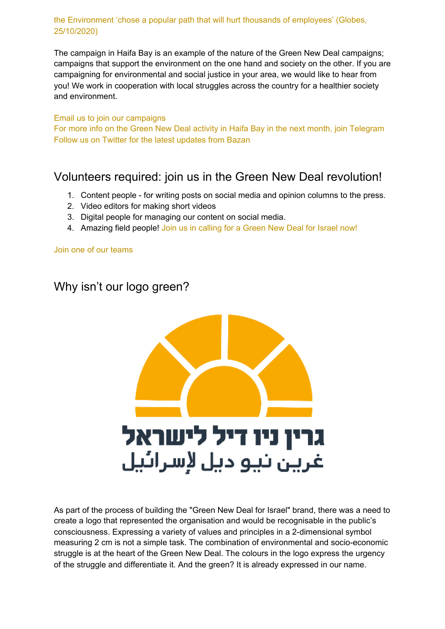#### the [Environment](https://www.globes.co.il/news/article.aspx?did=1001346909) 'chose a popular path that will hurt thousands of employees' (Globes, [25/10/2020\)](https://www.globes.co.il/news/article.aspx?did=1001346909)

The campaign in Haifa Bay is an example of the nature of the Green New Deal campaigns; campaigns that support the environment on the one hand and society on the other. If you are campaigning for environmental and social justice in your area, we would like to hear from you! We work in cooperation with local struggles across the country for a healthier society and environment.

#### Email us to join our [campaigns](mailto:info@greennewdealisrael.co.il)

For more info on the Green New Deal activity in Haifa Bay in the next month, join [Telegram](https://t.me/joinchat/K7jrbVhmtHlnte3ay-X6lg) Follow us on Twitter for the latest [updates](https://twitter.com/gnd_israel?lang=en) from Bazan

### Volunteers required: join us in the Green New Deal revolution!

- 1. Content people for writing posts on social media and opinion columns to the press.
- 2. Video editors for making short videos
- 3. Digital people for managing our content on social media.
- 4. Amazing field people! Join us in [calling](https://greennewdeal.org.il/join-us/) for a Green New Deal for Israel now!

Join one of our [teams](https://greennewdeal.org.il/%D7%A6%D7%95%D7%95%D7%AA%D7%99-%D7%94%D7%A2%D7%91%D7%95%D7%93%D7%94/)

## Why isn't our logo green?



As part of the process of building the "Green New Deal for Israel" brand, there was a need to create a logo that represented the organisation and would be recognisable in the public's consciousness. Expressing a variety of values and principles in a 2-dimensional symbol measuring 2 cm is not a simple task. The combination of environmental and socio-economic struggle is at the heart of the Green New Deal. The colours in the logo express the urgency of the struggle and differentiate it. And the green? It is already expressed in our name.